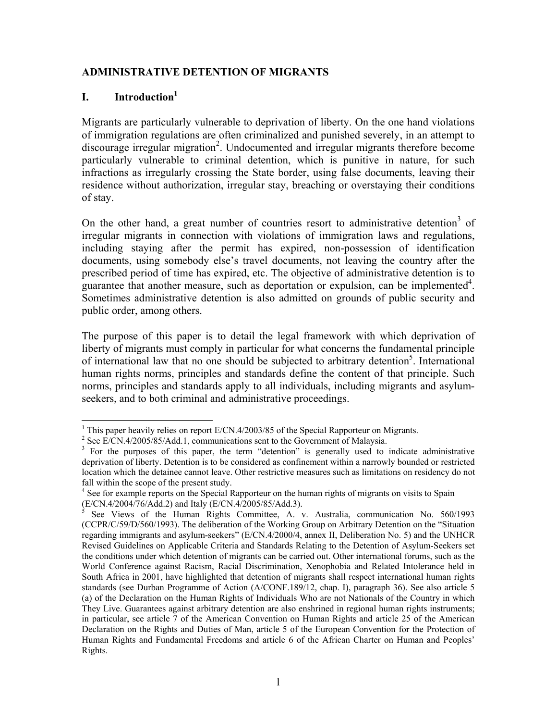### **ADMINISTRATIVE DETENTION OF MIGRANTS**

### **I. Introduction1**

1

Migrants are particularly vulnerable to deprivation of liberty. On the one hand violations of immigration regulations are often criminalized and punished severely, in an attempt to discourage irregular migration<sup>2</sup>. Undocumented and irregular migrants therefore become particularly vulnerable to criminal detention, which is punitive in nature, for such infractions as irregularly crossing the State border, using false documents, leaving their residence without authorization, irregular stay, breaching or overstaying their conditions of stay.

On the other hand, a great number of countries resort to administrative detention<sup>3</sup> of irregular migrants in connection with violations of immigration laws and regulations, including staying after the permit has expired, non-possession of identification documents, using somebody else's travel documents, not leaving the country after the prescribed period of time has expired, etc. The objective of administrative detention is to guarantee that another measure, such as deportation or expulsion, can be implemented<sup>4</sup>. Sometimes administrative detention is also admitted on grounds of public security and public order, among others.

The purpose of this paper is to detail the legal framework with which deprivation of liberty of migrants must comply in particular for what concerns the fundamental principle of international law that no one should be subjected to arbitrary detention<sup>5</sup>. International human rights norms, principles and standards define the content of that principle. Such norms, principles and standards apply to all individuals, including migrants and asylumseekers, and to both criminal and administrative proceedings.

<sup>&</sup>lt;sup>1</sup> This paper heavily relies on report E/CN.4/2003/85 of the Special Rapporteur on Migrants.

<sup>&</sup>lt;sup>2</sup> See E/CN.4/2005/85/Add.1, communications sent to the Government of Malaysia.

<sup>&</sup>lt;sup>3</sup> For the purposes of this paper, the term "detention" is generally used to indicate administrative deprivation of liberty. Detention is to be considered as confinement within a narrowly bounded or restricted location which the detainee cannot leave. Other restrictive measures such as limitations on residency do not fall within the scope of the present study.

<sup>&</sup>lt;sup>4</sup> See for example reports on the Special Rapporteur on the human rights of migrants on visits to Spain (E/CN.4/2004/76/Add.2) and Italy (E/CN.4/2005/85/Add.3).

<sup>5</sup> See Views of the Human Rights Committee, A. v. Australia, communication No. 560/1993 (CCPR/C/59/D/560/1993). The deliberation of the Working Group on Arbitrary Detention on the "Situation regarding immigrants and asylum-seekers" (E/CN.4/2000/4, annex II, Deliberation No. 5) and the UNHCR Revised Guidelines on Applicable Criteria and Standards Relating to the Detention of Asylum-Seekers set the conditions under which detention of migrants can be carried out. Other international forums, such as the World Conference against Racism, Racial Discrimination, Xenophobia and Related Intolerance held in South Africa in 2001, have highlighted that detention of migrants shall respect international human rights standards (see Durban Programme of Action (A/CONF.189/12, chap. I), paragraph 36). See also article 5 (a) of the Declaration on the Human Rights of Individuals Who are not Nationals of the Country in which They Live. Guarantees against arbitrary detention are also enshrined in regional human rights instruments; in particular, see article 7 of the American Convention on Human Rights and article 25 of the American Declaration on the Rights and Duties of Man, article 5 of the European Convention for the Protection of Human Rights and Fundamental Freedoms and article 6 of the African Charter on Human and Peoples' Rights.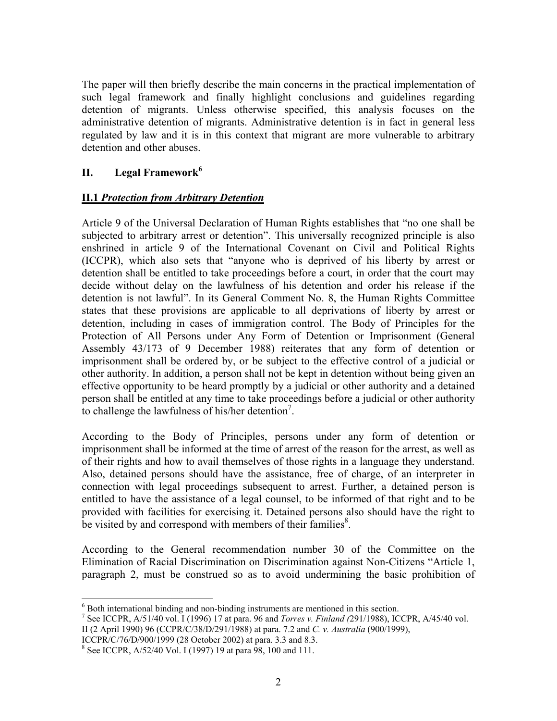The paper will then briefly describe the main concerns in the practical implementation of such legal framework and finally highlight conclusions and guidelines regarding detention of migrants. Unless otherwise specified, this analysis focuses on the administrative detention of migrants. Administrative detention is in fact in general less regulated by law and it is in this context that migrant are more vulnerable to arbitrary detention and other abuses.

# **II. Legal Framework<sup>6</sup>**

# **II.1** *Protection from Arbitrary Detention*

Article 9 of the Universal Declaration of Human Rights establishes that "no one shall be subjected to arbitrary arrest or detention". This universally recognized principle is also enshrined in article 9 of the International Covenant on Civil and Political Rights (ICCPR), which also sets that "anyone who is deprived of his liberty by arrest or detention shall be entitled to take proceedings before a court, in order that the court may decide without delay on the lawfulness of his detention and order his release if the detention is not lawful". In its General Comment No. 8, the Human Rights Committee states that these provisions are applicable to all deprivations of liberty by arrest or detention, including in cases of immigration control. The Body of Principles for the Protection of All Persons under Any Form of Detention or Imprisonment (General Assembly 43/173 of 9 December 1988) reiterates that any form of detention or imprisonment shall be ordered by, or be subject to the effective control of a judicial or other authority. In addition, a person shall not be kept in detention without being given an effective opportunity to be heard promptly by a judicial or other authority and a detained person shall be entitled at any time to take proceedings before a judicial or other authority to challenge the lawfulness of his/her detention<sup>7</sup>.

According to the Body of Principles, persons under any form of detention or imprisonment shall be informed at the time of arrest of the reason for the arrest, as well as of their rights and how to avail themselves of those rights in a language they understand. Also, detained persons should have the assistance, free of charge, of an interpreter in connection with legal proceedings subsequent to arrest. Further, a detained person is entitled to have the assistance of a legal counsel, to be informed of that right and to be provided with facilities for exercising it. Detained persons also should have the right to be visited by and correspond with members of their families $\delta$ .

According to the General recommendation number 30 of the Committee on the Elimination of Racial Discrimination on Discrimination against Non-Citizens "Article 1, paragraph 2, must be construed so as to avoid undermining the basic prohibition of

ICCPR/C/76/D/900/1999 (28 October 2002) at para. 3.3 and 8.3.

 $\overline{a}$ <sup>6</sup> Both international binding and non-binding instruments are mentioned in this section.

<sup>7</sup> See ICCPR, A/51/40 vol. I (1996) 17 at para. 96 and *Torres v. Finland (*291/1988), ICCPR, A/45/40 vol. II (2 April 1990) 96 (CCPR/C/38/D/291/1988) at para. 7.2 and *C. v. Australia* (900/1999),

<sup>8</sup> See ICCPR, A/52/40 Vol. I (1997) 19 at para 98, 100 and 111.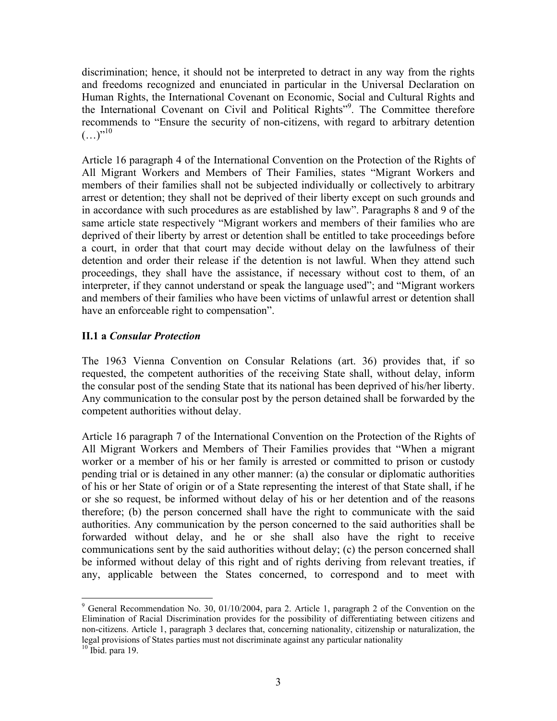discrimination; hence, it should not be interpreted to detract in any way from the rights and freedoms recognized and enunciated in particular in the Universal Declaration on Human Rights, the International Covenant on Economic, Social and Cultural Rights and the International Covenant on Civil and Political Rights"<sup>9</sup>. The Committee therefore recommends to "Ensure the security of non-citizens, with regard to arbitrary detention  $(\ldots)^{n}$ <sup>10</sup>

Article 16 paragraph 4 of the International Convention on the Protection of the Rights of All Migrant Workers and Members of Their Families, states "Migrant Workers and members of their families shall not be subjected individually or collectively to arbitrary arrest or detention; they shall not be deprived of their liberty except on such grounds and in accordance with such procedures as are established by law". Paragraphs 8 and 9 of the same article state respectively "Migrant workers and members of their families who are deprived of their liberty by arrest or detention shall be entitled to take proceedings before a court, in order that that court may decide without delay on the lawfulness of their detention and order their release if the detention is not lawful. When they attend such proceedings, they shall have the assistance, if necessary without cost to them, of an interpreter, if they cannot understand or speak the language used"; and "Migrant workers and members of their families who have been victims of unlawful arrest or detention shall have an enforceable right to compensation".

# **II.1 a** *Consular Protection*

The 1963 Vienna Convention on Consular Relations (art. 36) provides that, if so requested, the competent authorities of the receiving State shall, without delay, inform the consular post of the sending State that its national has been deprived of his/her liberty. Any communication to the consular post by the person detained shall be forwarded by the competent authorities without delay.

Article 16 paragraph 7 of the International Convention on the Protection of the Rights of All Migrant Workers and Members of Their Families provides that "When a migrant worker or a member of his or her family is arrested or committed to prison or custody pending trial or is detained in any other manner: (a) the consular or diplomatic authorities of his or her State of origin or of a State representing the interest of that State shall, if he or she so request, be informed without delay of his or her detention and of the reasons therefore; (b) the person concerned shall have the right to communicate with the said authorities. Any communication by the person concerned to the said authorities shall be forwarded without delay, and he or she shall also have the right to receive communications sent by the said authorities without delay; (c) the person concerned shall be informed without delay of this right and of rights deriving from relevant treaties, if any, applicable between the States concerned, to correspond and to meet with

<sup>&</sup>lt;sup>9</sup> General Recommendation No. 30, 01/10/2004, para 2. Article 1, paragraph 2 of the Convention on the Elimination of Racial Discrimination provides for the possibility of differentiating between citizens and non-citizens. Article 1, paragraph 3 declares that, concerning nationality, citizenship or naturalization, the legal provisions of States parties must not discriminate against any particular nationality 10 Ibid. para 19.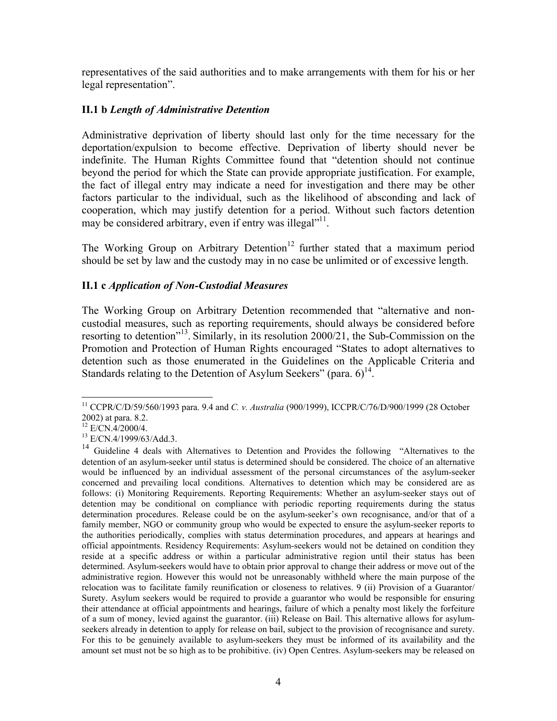representatives of the said authorities and to make arrangements with them for his or her legal representation".

# **II.1 b** *Length of Administrative Detention*

Administrative deprivation of liberty should last only for the time necessary for the deportation/expulsion to become effective. Deprivation of liberty should never be indefinite. The Human Rights Committee found that "detention should not continue beyond the period for which the State can provide appropriate justification. For example, the fact of illegal entry may indicate a need for investigation and there may be other factors particular to the individual, such as the likelihood of absconding and lack of cooperation, which may justify detention for a period. Without such factors detention may be considered arbitrary, even if entry was illegal"<sup>11</sup>.

The Working Group on Arbitrary Detention<sup>12</sup> further stated that a maximum period should be set by law and the custody may in no case be unlimited or of excessive length.

### **II.1 c** *Application of Non-Custodial Measures*

The Working Group on Arbitrary Detention recommended that "alternative and noncustodial measures, such as reporting requirements, should always be considered before resorting to detention"13. Similarly, in its resolution 2000/21, the Sub-Commission on the Promotion and Protection of Human Rights encouraged "States to adopt alternatives to detention such as those enumerated in the Guidelines on the Applicable Criteria and Standards relating to the Detention of Asylum Seekers" (para.  $6^{14}$ .

 $\overline{a}$ 11 CCPR/C/D/59/560/1993 para. 9.4 and *C. v. Australia* (900/1999), ICCPR/C/76/D/900/1999 (28 October 2002) at para. 8.2.

 $12$  E/CN.4/2000/4.

<sup>13</sup> E/CN.4/1999/63/Add.3.

<sup>&</sup>lt;sup>14</sup> Guideline 4 deals with Alternatives to Detention and Provides the following "Alternatives to the detention of an asylum-seeker until status is determined should be considered. The choice of an alternative would be influenced by an individual assessment of the personal circumstances of the asylum-seeker concerned and prevailing local conditions. Alternatives to detention which may be considered are as follows: (i) Monitoring Requirements. Reporting Requirements: Whether an asylum-seeker stays out of detention may be conditional on compliance with periodic reporting requirements during the status determination procedures. Release could be on the asylum-seeker's own recognisance, and/or that of a family member, NGO or community group who would be expected to ensure the asylum-seeker reports to the authorities periodically, complies with status determination procedures, and appears at hearings and official appointments. Residency Requirements: Asylum-seekers would not be detained on condition they reside at a specific address or within a particular administrative region until their status has been determined. Asylum-seekers would have to obtain prior approval to change their address or move out of the administrative region. However this would not be unreasonably withheld where the main purpose of the relocation was to facilitate family reunification or closeness to relatives. 9 (ii) Provision of a Guarantor/ Surety. Asylum seekers would be required to provide a guarantor who would be responsible for ensuring their attendance at official appointments and hearings, failure of which a penalty most likely the forfeiture of a sum of money, levied against the guarantor. (iii) Release on Bail. This alternative allows for asylumseekers already in detention to apply for release on bail, subject to the provision of recognisance and surety. For this to be genuinely available to asylum-seekers they must be informed of its availability and the amount set must not be so high as to be prohibitive. (iv) Open Centres. Asylum-seekers may be released on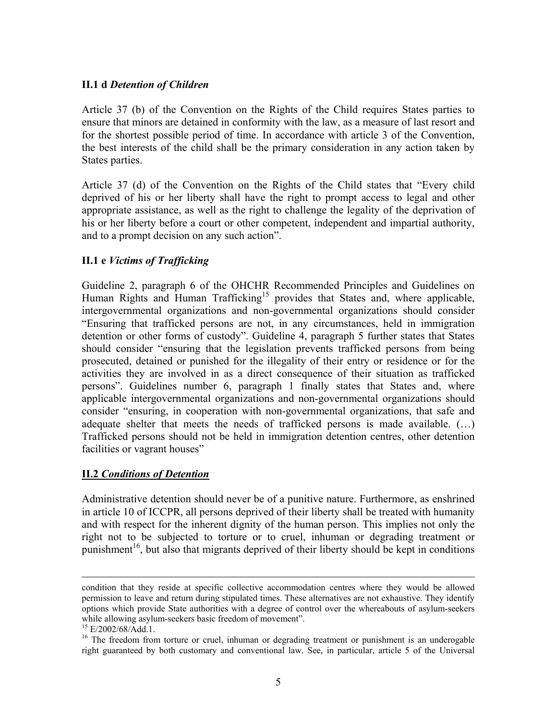### **II.1 d** *Detention of Children*

Article 37 (b) of the Convention on the Rights of the Child requires States parties to ensure that minors are detained in conformity with the law, as a measure of last resort and for the shortest possible period of time. In accordance with article 3 of the Convention, the best interests of the child shall be the primary consideration in any action taken by States parties.

Article 37 (d) of the Convention on the Rights of the Child states that "Every child deprived of his or her liberty shall have the right to prompt access to legal and other appropriate assistance, as well as the right to challenge the legality of the deprivation of his or her liberty before a court or other competent, independent and impartial authority, and to a prompt decision on any such action".

# **II.1 e** *Victims of Trafficking*

Guideline 2, paragraph 6 of the OHCHR Recommended Principles and Guidelines on Human Rights and Human Trafficking<sup>15</sup> provides that States and, where applicable, intergovernmental organizations and non-governmental organizations should consider "Ensuring that trafficked persons are not, in any circumstances, held in immigration detention or other forms of custody". Guideline 4, paragraph 5 further states that States should consider "ensuring that the legislation prevents trafficked persons from being prosecuted, detained or punished for the illegality of their entry or residence or for the activities they are involved in as a direct consequence of their situation as trafficked persons". Guidelines number 6, paragraph 1 finally states that States and, where applicable intergovernmental organizations and non-governmental organizations should consider "ensuring, in cooperation with non-governmental organizations, that safe and adequate shelter that meets the needs of trafficked persons is made available. (…) Trafficked persons should not be held in immigration detention centres, other detention facilities or vagrant houses"

#### **II.2** *Conditions of Detention*

Administrative detention should never be of a punitive nature. Furthermore, as enshrined in article 10 of ICCPR, all persons deprived of their liberty shall be treated with humanity and with respect for the inherent dignity of the human person. This implies not only the right not to be subjected to torture or to cruel, inhuman or degrading treatment or punishment<sup>16</sup>, but also that migrants deprived of their liberty should be kept in conditions

condition that they reside at specific collective accommodation centres where they would be allowed permission to leave and return during stipulated times. These alternatives are not exhaustive. They identify options which provide State authorities with a degree of control over the whereabouts of asylum-seekers while allowing asylum-seekers basic freedom of movement".

<sup>&</sup>lt;sup>15</sup> E/2002/68/Add.1.

<sup>&</sup>lt;sup>16</sup> The freedom from torture or cruel, inhuman or degrading treatment or punishment is an underogable right guaranteed by both customary and conventional law. See, in particular, article 5 of the Universal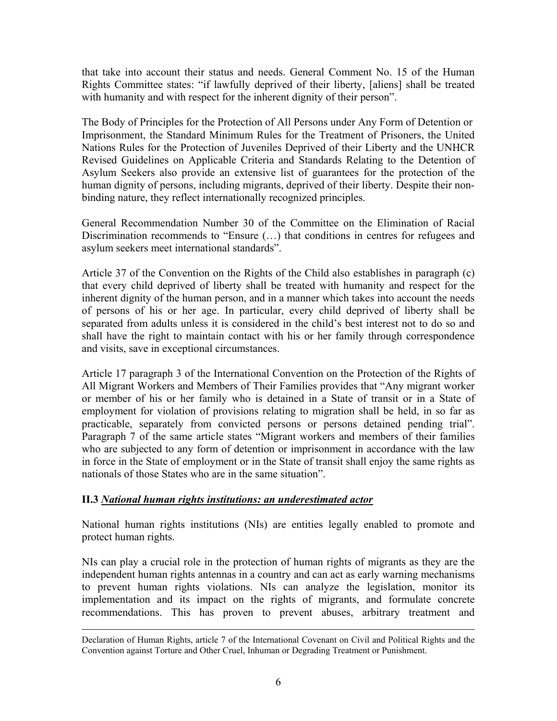that take into account their status and needs. General Comment No. 15 of the Human Rights Committee states: "if lawfully deprived of their liberty, [aliens] shall be treated with humanity and with respect for the inherent dignity of their person".

The Body of Principles for the Protection of All Persons under Any Form of Detention or Imprisonment, the Standard Minimum Rules for the Treatment of Prisoners, the United Nations Rules for the Protection of Juveniles Deprived of their Liberty and the UNHCR Revised Guidelines on Applicable Criteria and Standards Relating to the Detention of Asylum Seekers also provide an extensive list of guarantees for the protection of the human dignity of persons, including migrants, deprived of their liberty. Despite their nonbinding nature, they reflect internationally recognized principles.

General Recommendation Number 30 of the Committee on the Elimination of Racial Discrimination recommends to "Ensure (…) that conditions in centres for refugees and asylum seekers meet international standards".

Article 37 of the Convention on the Rights of the Child also establishes in paragraph (c) that every child deprived of liberty shall be treated with humanity and respect for the inherent dignity of the human person, and in a manner which takes into account the needs of persons of his or her age. In particular, every child deprived of liberty shall be separated from adults unless it is considered in the child's best interest not to do so and shall have the right to maintain contact with his or her family through correspondence and visits, save in exceptional circumstances.

Article 17 paragraph 3 of the International Convention on the Protection of the Rights of All Migrant Workers and Members of Their Families provides that "Any migrant worker or member of his or her family who is detained in a State of transit or in a State of employment for violation of provisions relating to migration shall be held, in so far as practicable, separately from convicted persons or persons detained pending trial". Paragraph 7 of the same article states "Migrant workers and members of their families who are subjected to any form of detention or imprisonment in accordance with the law in force in the State of employment or in the State of transit shall enjoy the same rights as nationals of those States who are in the same situation".

# **II.3** *National human rights institutions: an underestimated actor*

National human rights institutions (NIs) are entities legally enabled to promote and protect human rights.

NIs can play a crucial role in the protection of human rights of migrants as they are the independent human rights antennas in a country and can act as early warning mechanisms to prevent human rights violations. NIs can analyze the legislation, monitor its implementation and its impact on the rights of migrants, and formulate concrete recommendations. This has proven to prevent abuses, arbitrary treatment and

Declaration of Human Rights, article 7 of the International Covenant on Civil and Political Rights and the Convention against Torture and Other Cruel, Inhuman or Degrading Treatment or Punishment.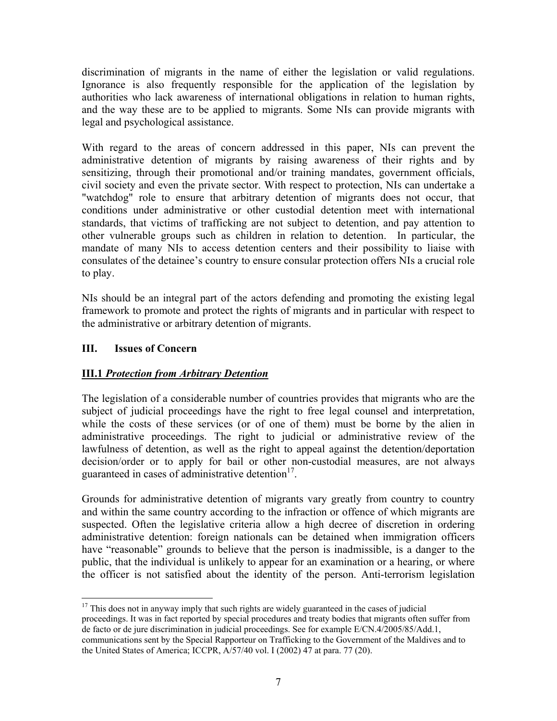discrimination of migrants in the name of either the legislation or valid regulations. Ignorance is also frequently responsible for the application of the legislation by authorities who lack awareness of international obligations in relation to human rights, and the way these are to be applied to migrants. Some NIs can provide migrants with legal and psychological assistance.

With regard to the areas of concern addressed in this paper, NIs can prevent the administrative detention of migrants by raising awareness of their rights and by sensitizing, through their promotional and/or training mandates, government officials, civil society and even the private sector. With respect to protection, NIs can undertake a "watchdog" role to ensure that arbitrary detention of migrants does not occur, that conditions under administrative or other custodial detention meet with international standards, that victims of trafficking are not subject to detention, and pay attention to other vulnerable groups such as children in relation to detention. In particular, the mandate of many NIs to access detention centers and their possibility to liaise with consulates of the detainee's country to ensure consular protection offers NIs a crucial role to play.

NIs should be an integral part of the actors defending and promoting the existing legal framework to promote and protect the rights of migrants and in particular with respect to the administrative or arbitrary detention of migrants.

# **III. Issues of Concern**

# **III.1** *Protection from Arbitrary Detention*

The legislation of a considerable number of countries provides that migrants who are the subject of judicial proceedings have the right to free legal counsel and interpretation, while the costs of these services (or of one of them) must be borne by the alien in administrative proceedings. The right to judicial or administrative review of the lawfulness of detention, as well as the right to appeal against the detention/deportation decision/order or to apply for bail or other non-custodial measures, are not always guaranteed in cases of administrative detention $17$ .

Grounds for administrative detention of migrants vary greatly from country to country and within the same country according to the infraction or offence of which migrants are suspected. Often the legislative criteria allow a high decree of discretion in ordering administrative detention: foreign nationals can be detained when immigration officers have "reasonable" grounds to believe that the person is inadmissible, is a danger to the public, that the individual is unlikely to appear for an examination or a hearing, or where the officer is not satisfied about the identity of the person. Anti-terrorism legislation

 $\overline{a}$  $17$  This does not in anyway imply that such rights are widely guaranteed in the cases of judicial proceedings. It was in fact reported by special procedures and treaty bodies that migrants often suffer from de facto or de jure discrimination in judicial proceedings. See for example E/CN.4/2005/85/Add.1, communications sent by the Special Rapporteur on Trafficking to the Government of the Maldives and to the United States of America; ICCPR, A/57/40 vol. I (2002) 47 at para. 77 (20).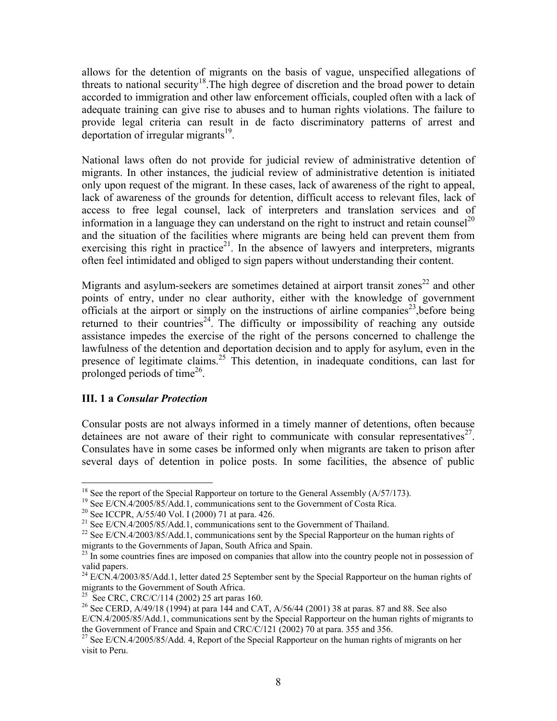allows for the detention of migrants on the basis of vague, unspecified allegations of threats to national security<sup>18</sup>. The high degree of discretion and the broad power to detain accorded to immigration and other law enforcement officials, coupled often with a lack of adequate training can give rise to abuses and to human rights violations. The failure to provide legal criteria can result in de facto discriminatory patterns of arrest and deportation of irregular migrants<sup>19</sup>.

National laws often do not provide for judicial review of administrative detention of migrants. In other instances, the judicial review of administrative detention is initiated only upon request of the migrant. In these cases, lack of awareness of the right to appeal, lack of awareness of the grounds for detention, difficult access to relevant files, lack of access to free legal counsel, lack of interpreters and translation services and of information in a language they can understand on the right to instruct and retain counsel<sup>20</sup> and the situation of the facilities where migrants are being held can prevent them from exercising this right in practice<sup>21</sup>. In the absence of lawyers and interpreters, migrants often feel intimidated and obliged to sign papers without understanding their content.

Migrants and asylum-seekers are sometimes detained at airport transit zones<sup>22</sup> and other points of entry, under no clear authority, either with the knowledge of government officials at the airport or simply on the instructions of airline companies<sup>23</sup>, before being returned to their countries<sup>24</sup>. The difficulty or impossibility of reaching any outside assistance impedes the exercise of the right of the persons concerned to challenge the lawfulness of the detention and deportation decision and to apply for asylum, even in the presence of legitimate claims.<sup>25</sup> This detention, in inadequate conditions, can last for prolonged periods of time<sup>26</sup>.

#### **III. 1 a** *Consular Protection*

Consular posts are not always informed in a timely manner of detentions, often because detainees are not aware of their right to communicate with consular representatives<sup>27</sup>. Consulates have in some cases be informed only when migrants are taken to prison after several days of detention in police posts. In some facilities, the absence of public

<sup>&</sup>lt;sup>18</sup> See the report of the Special Rapporteur on torture to the General Assembly  $(A/57/173)$ .

<sup>&</sup>lt;sup>19</sup> See E/CN.4/2005/85/Add.1, communications sent to the Government of Costa Rica.

<sup>&</sup>lt;sup>20</sup> See ICCPR, A/55/40 Vol. I (2000) 71 at para. 426.

<sup>&</sup>lt;sup>21</sup> See E/CN.4/2005/85/Add.1, communications sent to the Government of Thailand.

<sup>&</sup>lt;sup>22</sup> See E/CN.4/2003/85/Add.1, communications sent by the Special Rapporteur on the human rights of migrants to the Governments of Japan, South Africa and Spain.

 $^{23}$  In some countries fines are imposed on companies that allow into the country people not in possession of valid papers.

<sup>&</sup>lt;sup>24</sup> E/CN.4/2003/85/Add.1, letter dated 25 September sent by the Special Rapporteur on the human rights of migrants to the Government of South Africa.

<sup>&</sup>lt;sup>25</sup> See CRC, CRC/C/114 (2002) 25 art paras 160.

<sup>&</sup>lt;sup>26</sup> See CERD, A/49/18 (1994) at para 144 and CAT, A/56/44 (2001) 38 at paras. 87 and 88. See also E/CN.4/2005/85/Add.1, communications sent by the Special Rapporteur on the human rights of migrants to the Government of France and Spain and CRC/C/121 (2002) 70 at para. 355 and 356.

<sup>&</sup>lt;sup>27</sup> See E/CN.4/2005/85/Add. 4, Report of the Special Rapporteur on the human rights of migrants on her visit to Peru.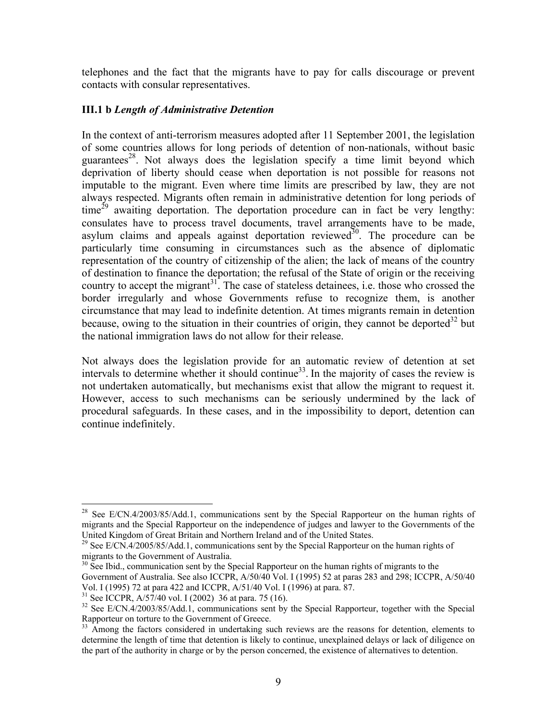telephones and the fact that the migrants have to pay for calls discourage or prevent contacts with consular representatives.

## **III.1 b** *Length of Administrative Detention*

In the context of anti-terrorism measures adopted after 11 September 2001, the legislation of some countries allows for long periods of detention of non-nationals, without basic guarantees<sup>28</sup>. Not always does the legislation specify a time limit beyond which deprivation of liberty should cease when deportation is not possible for reasons not imputable to the migrant. Even where time limits are prescribed by law, they are not always respected. Migrants often remain in administrative detention for long periods of  $time^{29}$  awaiting deportation. The deportation procedure can in fact be very lengthy: consulates have to process travel documents, travel arrangements have to be made, asylum claims and appeals against deportation reviewed<sup>30</sup>. The procedure can be particularly time consuming in circumstances such as the absence of diplomatic representation of the country of citizenship of the alien; the lack of means of the country of destination to finance the deportation; the refusal of the State of origin or the receiving country to accept the migrant<sup>31</sup>. The case of stateless detainees, i.e. those who crossed the border irregularly and whose Governments refuse to recognize them, is another circumstance that may lead to indefinite detention. At times migrants remain in detention because, owing to the situation in their countries of origin, they cannot be deported<sup>32</sup> but the national immigration laws do not allow for their release.

Not always does the legislation provide for an automatic review of detention at set intervals to determine whether it should continue<sup>33</sup>. In the majority of cases the review is not undertaken automatically, but mechanisms exist that allow the migrant to request it. However, access to such mechanisms can be seriously undermined by the lack of procedural safeguards. In these cases, and in the impossibility to deport, detention can continue indefinitely.

 $\overline{a}$ 

<sup>&</sup>lt;sup>28</sup> See E/CN.4/2003/85/Add.1, communications sent by the Special Rapporteur on the human rights of migrants and the Special Rapporteur on the independence of judges and lawyer to the Governments of the United Kingdom of Great Britain and Northern Ireland and of the United States.

<sup>&</sup>lt;sup>29</sup> See E/CN.4/2005/85/Add.1, communications sent by the Special Rapporteur on the human rights of migrants to the Government of Australia.

 $30\text{ See Ibid.}$ , communication sent by the Special Rapporteur on the human rights of migrants to the Government of Australia. See also ICCPR, A/50/40 Vol. I (1995) 52 at paras 283 and 298; ICCPR, A/50/40 Vol. I (1995) 72 at para 422 and ICCPR, A/51/40 Vol. I (1996) at para. 87.

<sup>&</sup>lt;sup>31</sup> See ICCPR, A/57/40 vol. I (2002) 36 at para. 75 (16).

<sup>&</sup>lt;sup>32</sup> See E/CN.4/2003/85/Add.1, communications sent by the Special Rapporteur, together with the Special Rapporteur on torture to the Government of Greece.

<sup>&</sup>lt;sup>33</sup> Among the factors considered in undertaking such reviews are the reasons for detention, elements to determine the length of time that detention is likely to continue, unexplained delays or lack of diligence on the part of the authority in charge or by the person concerned, the existence of alternatives to detention.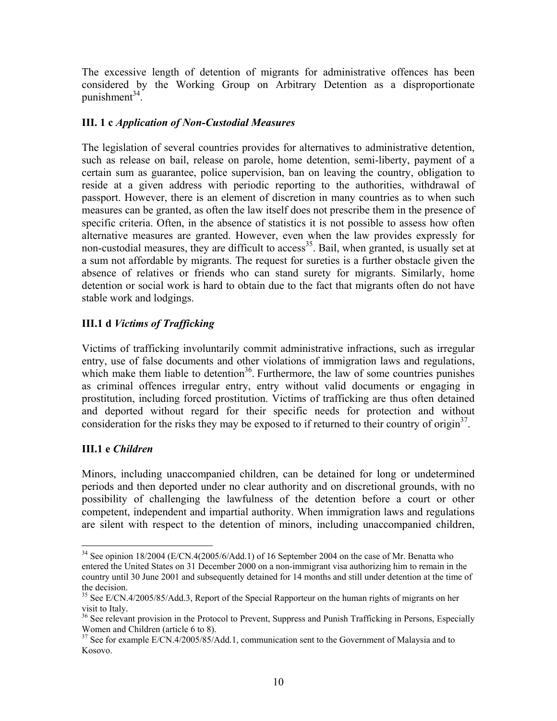The excessive length of detention of migrants for administrative offences has been considered by the Working Group on Arbitrary Detention as a disproportionate punishment $34$ .

## **III. 1 c** *Application of Non-Custodial Measures*

The legislation of several countries provides for alternatives to administrative detention, such as release on bail, release on parole, home detention, semi-liberty, payment of a certain sum as guarantee, police supervision, ban on leaving the country, obligation to reside at a given address with periodic reporting to the authorities, withdrawal of passport. However, there is an element of discretion in many countries as to when such measures can be granted, as often the law itself does not prescribe them in the presence of specific criteria. Often, in the absence of statistics it is not possible to assess how often alternative measures are granted. However, even when the law provides expressly for non-custodial measures, they are difficult to access<sup>35</sup>. Bail, when granted, is usually set at a sum not affordable by migrants. The request for sureties is a further obstacle given the absence of relatives or friends who can stand surety for migrants. Similarly, home detention or social work is hard to obtain due to the fact that migrants often do not have stable work and lodgings.

# **III.1 d** *Victims of Trafficking*

Victims of trafficking involuntarily commit administrative infractions, such as irregular entry, use of false documents and other violations of immigration laws and regulations, which make them liable to detention<sup>36</sup>. Furthermore, the law of some countries punishes as criminal offences irregular entry, entry without valid documents or engaging in prostitution, including forced prostitution. Victims of trafficking are thus often detained and deported without regard for their specific needs for protection and without consideration for the risks they may be exposed to if returned to their country of origin<sup>37</sup>.

# **III.1 e** *Children*

 $\overline{a}$ 

Minors, including unaccompanied children, can be detained for long or undetermined periods and then deported under no clear authority and on discretional grounds, with no possibility of challenging the lawfulness of the detention before a court or other competent, independent and impartial authority. When immigration laws and regulations are silent with respect to the detention of minors, including unaccompanied children,

 $34$  See opinion 18/2004 (E/CN.4(2005/6/Add.1) of 16 September 2004 on the case of Mr. Benatta who entered the United States on 31 December 2000 on a non-immigrant visa authorizing him to remain in the country until 30 June 2001 and subsequently detained for 14 months and still under detention at the time of the decision.

<sup>&</sup>lt;sup>35</sup> See E/CN.4/2005/85/Add.3, Report of the Special Rapporteur on the human rights of migrants on her visit to Italy.

<sup>&</sup>lt;sup>36</sup> See relevant provision in the Protocol to Prevent, Suppress and Punish Trafficking in Persons, Especially Women and Children (article 6 to 8).

 $37$  See for example E/CN.4/2005/85/Add.1, communication sent to the Government of Malaysia and to Kosovo.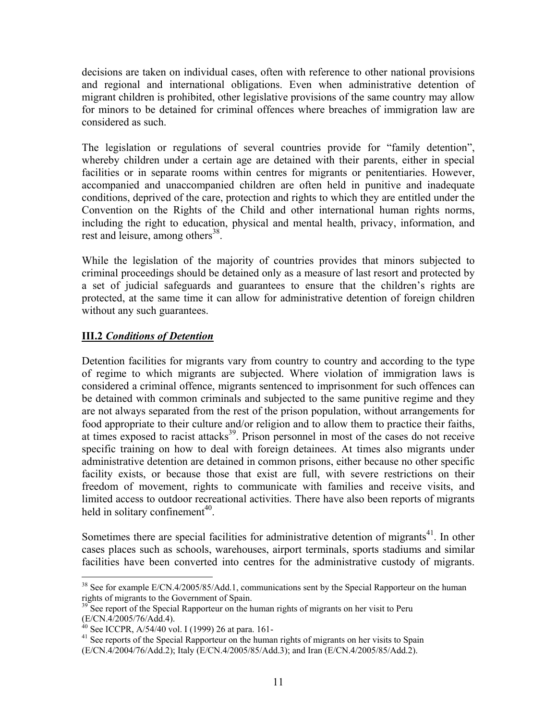decisions are taken on individual cases, often with reference to other national provisions and regional and international obligations. Even when administrative detention of migrant children is prohibited, other legislative provisions of the same country may allow for minors to be detained for criminal offences where breaches of immigration law are considered as such.

The legislation or regulations of several countries provide for "family detention", whereby children under a certain age are detained with their parents, either in special facilities or in separate rooms within centres for migrants or penitentiaries. However, accompanied and unaccompanied children are often held in punitive and inadequate conditions, deprived of the care, protection and rights to which they are entitled under the Convention on the Rights of the Child and other international human rights norms, including the right to education, physical and mental health, privacy, information, and rest and leisure, among others<sup>38</sup>.

While the legislation of the majority of countries provides that minors subjected to criminal proceedings should be detained only as a measure of last resort and protected by a set of judicial safeguards and guarantees to ensure that the children's rights are protected, at the same time it can allow for administrative detention of foreign children without any such guarantees.

# **III.2** *Conditions of Detention*

Detention facilities for migrants vary from country to country and according to the type of regime to which migrants are subjected. Where violation of immigration laws is considered a criminal offence, migrants sentenced to imprisonment for such offences can be detained with common criminals and subjected to the same punitive regime and they are not always separated from the rest of the prison population, without arrangements for food appropriate to their culture and/or religion and to allow them to practice their faiths, at times exposed to racist attacks<sup>39</sup>. Prison personnel in most of the cases do not receive specific training on how to deal with foreign detainees. At times also migrants under administrative detention are detained in common prisons, either because no other specific facility exists, or because those that exist are full, with severe restrictions on their freedom of movement, rights to communicate with families and receive visits, and limited access to outdoor recreational activities. There have also been reports of migrants held in solitary confinement<sup>40</sup>.

Sometimes there are special facilities for administrative detention of migrants $41$ . In other cases places such as schools, warehouses, airport terminals, sports stadiums and similar facilities have been converted into centres for the administrative custody of migrants.

 $\overline{a}$ 

 $38$  See for example E/CN.4/2005/85/Add.1, communications sent by the Special Rapporteur on the human rights of migrants to the Government of Spain.

<sup>&</sup>lt;sup>39</sup> See report of the Special Rapporteur on the human rights of migrants on her visit to Peru (E/CN.4/2005/76/Add.4).

<sup>&</sup>lt;sup>40</sup> See ICCPR, A/54/40 vol. I (1999) 26 at para. 161-

<sup>&</sup>lt;sup>41</sup> See reports of the Special Rapporteur on the human rights of migrants on her visits to Spain

<sup>(</sup>E/CN.4/2004/76/Add.2); Italy (E/CN.4/2005/85/Add.3); and Iran (E/CN.4/2005/85/Add.2).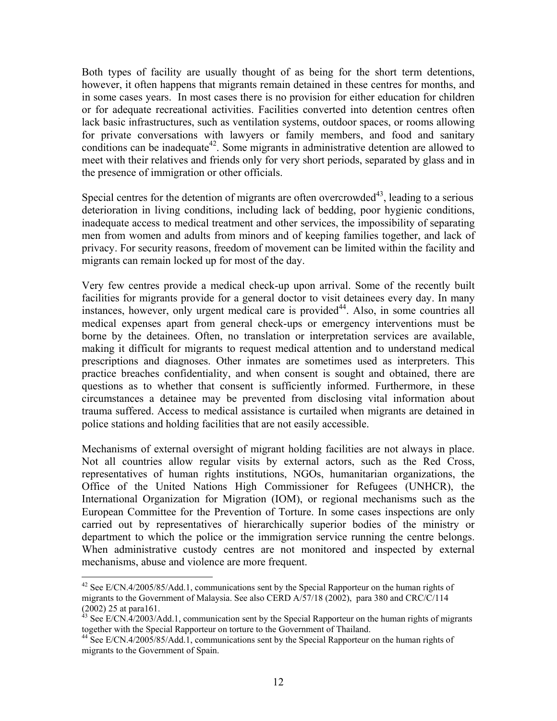Both types of facility are usually thought of as being for the short term detentions, however, it often happens that migrants remain detained in these centres for months, and in some cases years. In most cases there is no provision for either education for children or for adequate recreational activities. Facilities converted into detention centres often lack basic infrastructures, such as ventilation systems, outdoor spaces, or rooms allowing for private conversations with lawyers or family members, and food and sanitary conditions can be inadequate<sup>42</sup>. Some migrants in administrative detention are allowed to meet with their relatives and friends only for very short periods, separated by glass and in the presence of immigration or other officials.

Special centres for the detention of migrants are often overcrowded<sup>43</sup>, leading to a serious deterioration in living conditions, including lack of bedding, poor hygienic conditions, inadequate access to medical treatment and other services, the impossibility of separating men from women and adults from minors and of keeping families together, and lack of privacy. For security reasons, freedom of movement can be limited within the facility and migrants can remain locked up for most of the day.

Very few centres provide a medical check-up upon arrival. Some of the recently built facilities for migrants provide for a general doctor to visit detainees every day. In many instances, however, only urgent medical care is provided $44$ . Also, in some countries all medical expenses apart from general check-ups or emergency interventions must be borne by the detainees. Often, no translation or interpretation services are available, making it difficult for migrants to request medical attention and to understand medical prescriptions and diagnoses. Other inmates are sometimes used as interpreters. This practice breaches confidentiality, and when consent is sought and obtained, there are questions as to whether that consent is sufficiently informed. Furthermore, in these circumstances a detainee may be prevented from disclosing vital information about trauma suffered. Access to medical assistance is curtailed when migrants are detained in police stations and holding facilities that are not easily accessible.

Mechanisms of external oversight of migrant holding facilities are not always in place. Not all countries allow regular visits by external actors, such as the Red Cross, representatives of human rights institutions, NGOs, humanitarian organizations, the Office of the United Nations High Commissioner for Refugees (UNHCR), the International Organization for Migration (IOM), or regional mechanisms such as the European Committee for the Prevention of Torture. In some cases inspections are only carried out by representatives of hierarchically superior bodies of the ministry or department to which the police or the immigration service running the centre belongs. When administrative custody centres are not monitored and inspected by external mechanisms, abuse and violence are more frequent.

 $\overline{a}$ 

 $42$  See E/CN.4/2005/85/Add.1, communications sent by the Special Rapporteur on the human rights of migrants to the Government of Malaysia. See also CERD A/57/18 (2002), para 380 and CRC/C/114 (2002) 25 at para161.

 $^{43}$  See E/CN.4/2003/Add.1, communication sent by the Special Rapporteur on the human rights of migrants together with the Special Rapporteur on torture to the Government of Thailand. 44 See E/CN.4/2005/85/Add.1, communications sent by the Special Rapporteur on the human rights of

migrants to the Government of Spain.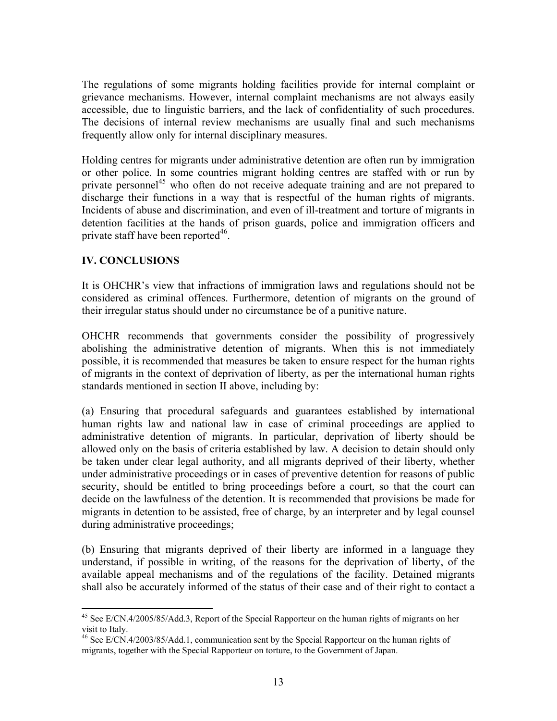The regulations of some migrants holding facilities provide for internal complaint or grievance mechanisms. However, internal complaint mechanisms are not always easily accessible, due to linguistic barriers, and the lack of confidentiality of such procedures. The decisions of internal review mechanisms are usually final and such mechanisms frequently allow only for internal disciplinary measures.

Holding centres for migrants under administrative detention are often run by immigration or other police. In some countries migrant holding centres are staffed with or run by private personnel<sup>45</sup> who often do not receive adequate training and are not prepared to discharge their functions in a way that is respectful of the human rights of migrants. Incidents of abuse and discrimination, and even of ill-treatment and torture of migrants in detention facilities at the hands of prison guards, police and immigration officers and private staff have been reported $46$ .

# **IV. CONCLUSIONS**

 $\overline{a}$ 

It is OHCHR's view that infractions of immigration laws and regulations should not be considered as criminal offences. Furthermore, detention of migrants on the ground of their irregular status should under no circumstance be of a punitive nature.

OHCHR recommends that governments consider the possibility of progressively abolishing the administrative detention of migrants. When this is not immediately possible, it is recommended that measures be taken to ensure respect for the human rights of migrants in the context of deprivation of liberty, as per the international human rights standards mentioned in section II above, including by:

(a) Ensuring that procedural safeguards and guarantees established by international human rights law and national law in case of criminal proceedings are applied to administrative detention of migrants. In particular, deprivation of liberty should be allowed only on the basis of criteria established by law. A decision to detain should only be taken under clear legal authority, and all migrants deprived of their liberty, whether under administrative proceedings or in cases of preventive detention for reasons of public security, should be entitled to bring proceedings before a court, so that the court can decide on the lawfulness of the detention. It is recommended that provisions be made for migrants in detention to be assisted, free of charge, by an interpreter and by legal counsel during administrative proceedings;

(b) Ensuring that migrants deprived of their liberty are informed in a language they understand, if possible in writing, of the reasons for the deprivation of liberty, of the available appeal mechanisms and of the regulations of the facility. Detained migrants shall also be accurately informed of the status of their case and of their right to contact a

<sup>&</sup>lt;sup>45</sup> See E/CN.4/2005/85/Add.3, Report of the Special Rapporteur on the human rights of migrants on her visit to Italy.

<sup>&</sup>lt;sup>46</sup> See E/CN.4/2003/85/Add.1, communication sent by the Special Rapporteur on the human rights of migrants, together with the Special Rapporteur on torture, to the Government of Japan.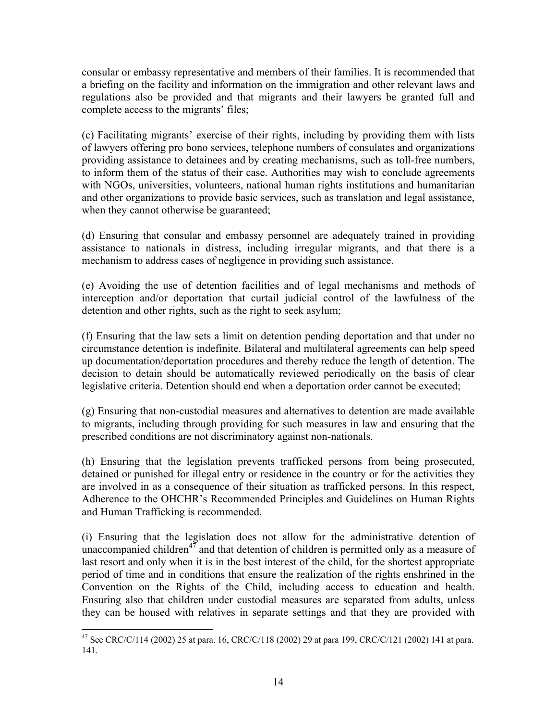consular or embassy representative and members of their families. It is recommended that a briefing on the facility and information on the immigration and other relevant laws and regulations also be provided and that migrants and their lawyers be granted full and complete access to the migrants' files;

(c) Facilitating migrants' exercise of their rights, including by providing them with lists of lawyers offering pro bono services, telephone numbers of consulates and organizations providing assistance to detainees and by creating mechanisms, such as toll-free numbers, to inform them of the status of their case. Authorities may wish to conclude agreements with NGOs, universities, volunteers, national human rights institutions and humanitarian and other organizations to provide basic services, such as translation and legal assistance, when they cannot otherwise be guaranteed;

(d) Ensuring that consular and embassy personnel are adequately trained in providing assistance to nationals in distress, including irregular migrants, and that there is a mechanism to address cases of negligence in providing such assistance.

(e) Avoiding the use of detention facilities and of legal mechanisms and methods of interception and/or deportation that curtail judicial control of the lawfulness of the detention and other rights, such as the right to seek asylum;

(f) Ensuring that the law sets a limit on detention pending deportation and that under no circumstance detention is indefinite. Bilateral and multilateral agreements can help speed up documentation/deportation procedures and thereby reduce the length of detention. The decision to detain should be automatically reviewed periodically on the basis of clear legislative criteria. Detention should end when a deportation order cannot be executed;

(g) Ensuring that non-custodial measures and alternatives to detention are made available to migrants, including through providing for such measures in law and ensuring that the prescribed conditions are not discriminatory against non-nationals.

(h) Ensuring that the legislation prevents trafficked persons from being prosecuted, detained or punished for illegal entry or residence in the country or for the activities they are involved in as a consequence of their situation as trafficked persons. In this respect, Adherence to the OHCHR's Recommended Principles and Guidelines on Human Rights and Human Trafficking is recommended.

(i) Ensuring that the legislation does not allow for the administrative detention of unaccompanied children<sup>47</sup> and that detention of children is permitted only as a measure of last resort and only when it is in the best interest of the child, for the shortest appropriate period of time and in conditions that ensure the realization of the rights enshrined in the Convention on the Rights of the Child, including access to education and health. Ensuring also that children under custodial measures are separated from adults, unless they can be housed with relatives in separate settings and that they are provided with

1

<sup>&</sup>lt;sup>47</sup> See CRC/C/114 (2002) 25 at para. 16, CRC/C/118 (2002) 29 at para 199, CRC/C/121 (2002) 141 at para. 141.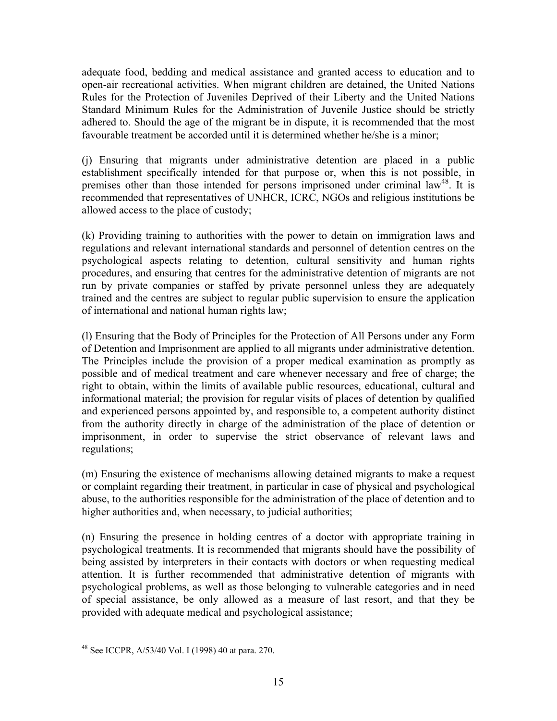adequate food, bedding and medical assistance and granted access to education and to open-air recreational activities. When migrant children are detained, the United Nations Rules for the Protection of Juveniles Deprived of their Liberty and the United Nations Standard Minimum Rules for the Administration of Juvenile Justice should be strictly adhered to. Should the age of the migrant be in dispute, it is recommended that the most favourable treatment be accorded until it is determined whether he/she is a minor;

(j) Ensuring that migrants under administrative detention are placed in a public establishment specifically intended for that purpose or, when this is not possible, in premises other than those intended for persons imprisoned under criminal law<sup>48</sup>. It is recommended that representatives of UNHCR, ICRC, NGOs and religious institutions be allowed access to the place of custody;

(k) Providing training to authorities with the power to detain on immigration laws and regulations and relevant international standards and personnel of detention centres on the psychological aspects relating to detention, cultural sensitivity and human rights procedures, and ensuring that centres for the administrative detention of migrants are not run by private companies or staffed by private personnel unless they are adequately trained and the centres are subject to regular public supervision to ensure the application of international and national human rights law;

(l) Ensuring that the Body of Principles for the Protection of All Persons under any Form of Detention and Imprisonment are applied to all migrants under administrative detention. The Principles include the provision of a proper medical examination as promptly as possible and of medical treatment and care whenever necessary and free of charge; the right to obtain, within the limits of available public resources, educational, cultural and informational material; the provision for regular visits of places of detention by qualified and experienced persons appointed by, and responsible to, a competent authority distinct from the authority directly in charge of the administration of the place of detention or imprisonment, in order to supervise the strict observance of relevant laws and regulations;

(m) Ensuring the existence of mechanisms allowing detained migrants to make a request or complaint regarding their treatment, in particular in case of physical and psychological abuse, to the authorities responsible for the administration of the place of detention and to higher authorities and, when necessary, to judicial authorities;

(n) Ensuring the presence in holding centres of a doctor with appropriate training in psychological treatments. It is recommended that migrants should have the possibility of being assisted by interpreters in their contacts with doctors or when requesting medical attention. It is further recommended that administrative detention of migrants with psychological problems, as well as those belonging to vulnerable categories and in need of special assistance, be only allowed as a measure of last resort, and that they be provided with adequate medical and psychological assistance;

 $\overline{a}$ 48 See ICCPR, A/53/40 Vol. I (1998) 40 at para. 270.